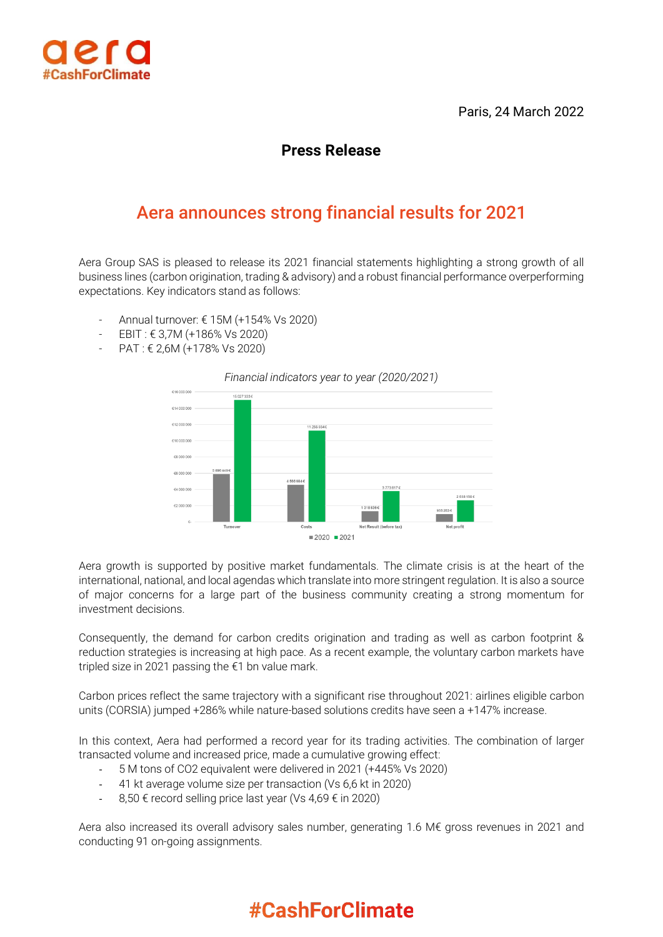



## **Press Release**

## Aera announces strong financial results for 2021

Aera Group SAS is pleased to release its 2021 financial statements highlighting a strong growth of all business lines (carbon origination, trading & advisory) and a robust financial performance overperforming expectations. Key indicators stand as follows:

- Annual turnover: € 15M (+154% Vs 2020)
- EBIT : € 3,7M (+186% Vs 2020)
- PAT : € 2,6M (+178% Vs 2020)



*Financial indicators year to year (2020/2021)*

Aera growth is supported by positive market fundamentals. The climate crisis is at the heart of the international, national, and local agendas which translate into more stringent regulation. It is also a source of major concerns for a large part of the business community creating a strong momentum for investment decisions.

Consequently, the demand for carbon credits origination and trading as well as carbon footprint & reduction strategies is increasing at high pace. As a recent example, the voluntary carbon markets have tripled size in 2021 passing the €1 bn value mark.

Carbon prices reflect the same trajectory with a significant rise throughout 2021: airlines eligible carbon units (CORSIA) jumped +286% while nature-based solutions credits have seen a +147% increase.

In this context, Aera had performed a record year for its trading activities. The combination of larger transacted volume and increased price, made a cumulative growing effect:

- 5 M tons of CO2 equivalent were delivered in 2021 (+445% Vs 2020)
- 41 kt average volume size per transaction (Vs 6,6 kt in 2020)
- $8,50 \in$  record selling price last year (Vs 4,69 € in 2020)

Aera also increased its overall advisory sales number, generating 1.6 M€ gross revenues in 2021 and conducting 91 on-going assignments.

## **#CashForClimate**